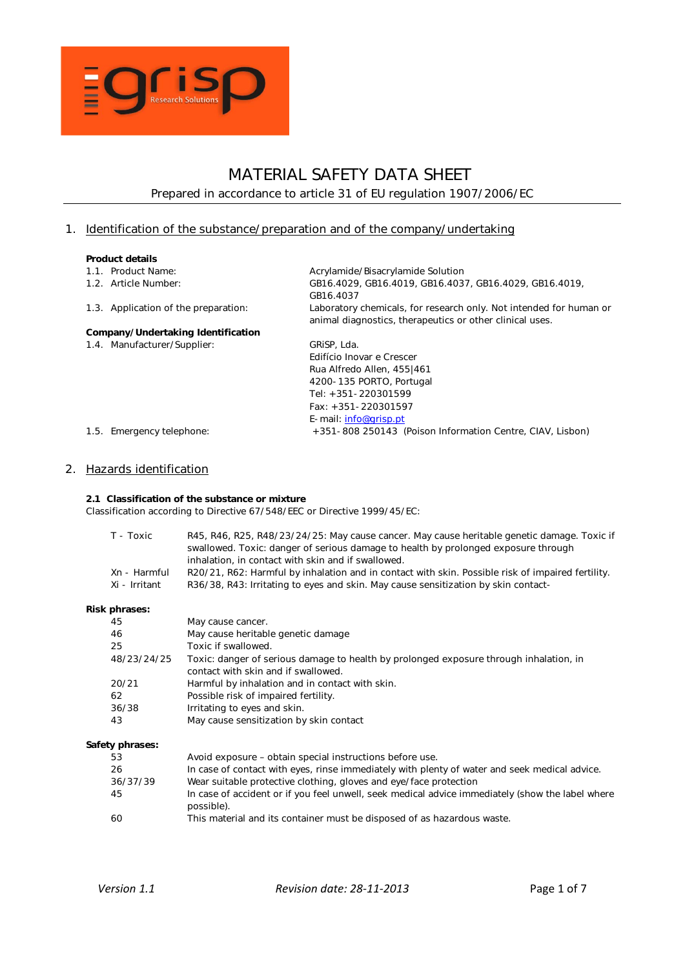

# MATERIAL SAFETY DATA SHEET Prepared in accordance to article 31 of EU regulation 1907/2006/EC

# 1. Identification of the substance/preparation and of the company/undertaking

## Product details

| 1.1. Product Name:                   | Acrylamide/Bisacrylamide Solution                                                                                              |
|--------------------------------------|--------------------------------------------------------------------------------------------------------------------------------|
| 1.2. Article Number:                 | GB16.4029, GB16.4019, GB16.4037, GB16.4029, GB16.4019,                                                                         |
|                                      | GB16.4037                                                                                                                      |
| 1.3. Application of the preparation: | Laboratory chemicals, for research only. Not intended for human or<br>animal diagnostics, therapeutics or other clinical uses. |
| Company/Undertaking Identification   |                                                                                                                                |
| 1.4. Manufacturer/Supplier:          | GRISP, Lda.                                                                                                                    |
|                                      | Edifício Inovar e Crescer                                                                                                      |
|                                      | Rua Alfredo Allen, 455 461                                                                                                     |
|                                      | 4200-135 PORTO, Portugal                                                                                                       |
|                                      | Tel: +351-220301599                                                                                                            |
|                                      | $Fax: +351 - 220301597$                                                                                                        |
|                                      | E-mail: info@grisp.pt                                                                                                          |
| 1.5. Emergency telephone:            | +351-808 250143 (Poison Information Centre, CIAV, Lisbon)                                                                      |

# 2. Hazards identification

### 2.1 Classification of the substance or mixture

Classification according to Directive 67/548/EEC or Directive 1999/45/EC:

| T - Toxic     | R45, R46, R25, R48/23/24/25: May cause cancer. May cause heritable genetic damage. Toxic if       |
|---------------|---------------------------------------------------------------------------------------------------|
|               | swallowed. Toxic: danger of serious damage to health by prolonged exposure through                |
|               | inhalation, in contact with skin and if swallowed.                                                |
| Xn - Harmful  | R20/21, R62: Harmful by inhalation and in contact with skin. Possible risk of impaired fertility. |
| Xi - Irritant | R36/38, R43: Irritating to eyes and skin. May cause sensitization by skin contact-                |

#### Risk phrases:

| 45              | May cause cancer.                                                                                                             |
|-----------------|-------------------------------------------------------------------------------------------------------------------------------|
| 46              | May cause heritable genetic damage                                                                                            |
| 25              | Toxic if swallowed.                                                                                                           |
| 48/23/24/25     | Toxic: danger of serious damage to health by prolonged exposure through inhalation, in<br>contact with skin and if swallowed. |
| 20/21           | Harmful by inhalation and in contact with skin.                                                                               |
| 62              | Possible risk of impaired fertility.                                                                                          |
| 36/38           | Irritating to eyes and skin.                                                                                                  |
| 43              | May cause sensitization by skin contact                                                                                       |
| Safety phrases: |                                                                                                                               |
| 53              | Avoid exposure – obtain special instructions before use.                                                                      |
| 26              | In case of contact with eyes, rinse immediately with plenty of water and seek medical advice.                                 |
| 36/37/39        | Wear suitable protective clothing, gloves and eye/face protection                                                             |
| 45              | In case of accident or if you feel unwell, seek medical advice immediately (show the label where<br>possible).                |

60 This material and its container must be disposed of as hazardous waste.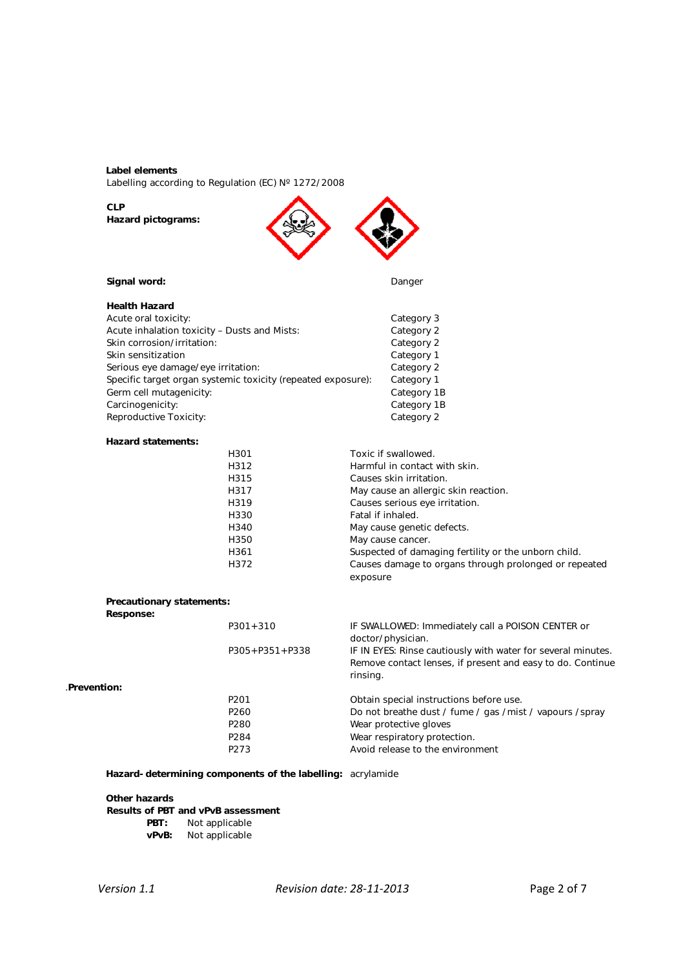### Label elements

Labelling according to Regulation (EC) N° 1272/2008

### CLP Hazard pictograms:



### Signal word: **Danger Danger Danger Danger**

| <b>Health Hazard</b>                                         |             |
|--------------------------------------------------------------|-------------|
| Acute oral toxicity:                                         | Category 3  |
| Acute inhalation toxicity - Dusts and Mists:                 | Category 2  |
| Skin corrosion/irritation:                                   | Category 2  |
| Skin sensitization                                           | Category 1  |
| Serious eye damage/eye irritation:                           | Category 2  |
| Specific target organ systemic toxicity (repeated exposure): | Category 1  |
| Germ cell mutagenicity:                                      | Category 1B |
| Carcinogenicity:                                             | Category 1B |
| Reproductive Toxicity:                                       | Category 2  |
|                                                              |             |

### Hazard statements:

| H301 | Toxic if swallowed.                                   |
|------|-------------------------------------------------------|
| H312 | Harmful in contact with skin.                         |
| H315 | Causes skin irritation.                               |
| H317 | May cause an allergic skin reaction.                  |
| H319 | Causes serious eye irritation.                        |
| H330 | Fatal if inhaled.                                     |
| H340 | May cause genetic defects.                            |
| H350 | May cause cancer.                                     |
| H361 | Suspected of damaging fertility or the unborn child.  |
| H372 | Causes damage to organs through prolonged or repeated |
|      | exposure                                              |

# Precautionary statements:

Response:

|              | $P301 + 310$         | IF SWALLOWED: Immediately call a POISON CENTER or<br>doctor/physician.                                                                 |
|--------------|----------------------|----------------------------------------------------------------------------------------------------------------------------------------|
|              | $P305 + P351 + P338$ | IF IN EYES: Rinse cautiously with water for several minutes.<br>Remove contact lenses, if present and easy to do. Continue<br>rinsing. |
| .Prevention: |                      |                                                                                                                                        |
|              | P <sub>201</sub>     | Obtain special instructions before use.                                                                                                |
|              | P <sub>260</sub>     | Do not breathe dust / fume / gas / mist / vapours / spray                                                                              |
|              | P <sub>280</sub>     | Wear protective gloves                                                                                                                 |
|              | P284                 | Wear respiratory protection.                                                                                                           |
|              | P <sub>273</sub>     | Avoid release to the environment                                                                                                       |

Hazard-determining components of the labelling: acrylamide

### Other hazards

### Results of PBT and vPvB assessment

- PBT: Not applicable
- vPvB: Not applicable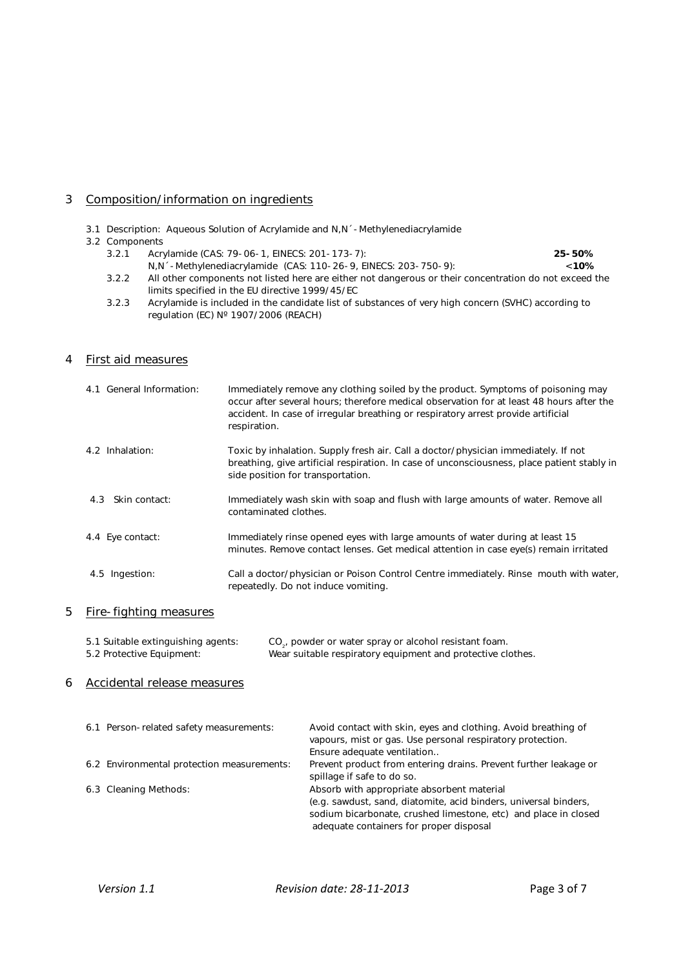# 3 Composition/information on ingredients

- 3.1 Description: Aqueous Solution of Acrylamide and N,N´-Methylenediacrylamide
- 3.2 Components
	- 3.2.1 Acrylamide (CAS: 79-06-1, EINECS: 201-173-7): <br>
	N,N ´-Methylenediacrylamide (CAS: 110-26-9, EINECS: 203-750-9): <10% N,N´-Methylenediacrylamide (CAS: 110-26-9, EINECS: 203-750-9):
	- 3.2.2 All other components not listed here are either not dangerous or their concentration do not exceed the limits specified in the EU directive 1999/45/EC
	- 3.2.3 Acrylamide is included in the candidate list of substances of very high concern (SVHC) according to regulation (EC) Nº 1907/2006 (REACH)

# 4 First aid measures

| 4.1 General Information: | Immediately remove any clothing soiled by the product. Symptoms of poisoning may<br>occur after several hours; therefore medical observation for at least 48 hours after the<br>accident. In case of irregular breathing or respiratory arrest provide artificial<br>respiration. |
|--------------------------|-----------------------------------------------------------------------------------------------------------------------------------------------------------------------------------------------------------------------------------------------------------------------------------|
| 4.2 Inhalation:          | Toxic by inhalation. Supply fresh air. Call a doctor/physician immediately. If not<br>breathing, give artificial respiration. In case of unconsciousness, place patient stably in<br>side position for transportation.                                                            |
| 4.3 Skin contact:        | Immediately wash skin with soap and flush with large amounts of water. Remove all<br>contaminated clothes.                                                                                                                                                                        |
| 4.4 Eye contact:         | Immediately rinse opened eyes with large amounts of water during at least 15<br>minutes. Remove contact lenses. Get medical attention in case eye(s) remain irritated                                                                                                             |
| 4.5 Ingestion:           | Call a doctor/physician or Poison Control Centre immediately. Rinse mouth with water,<br>repeatedly. Do not induce vomiting.                                                                                                                                                      |

# 5 Fire-fighting measures

| 5.1 Suitable extinguishing agents: | CO <sub>s</sub> , powder or water spray or alcohol resistant foam. |
|------------------------------------|--------------------------------------------------------------------|
| 5.2 Protective Equipment:          | Wear suitable respiratory equipment and protective clothes.        |

## 6 Accidental release measures

| 6.1 Person-related safety measurements:    | Avoid contact with skin, eyes and clothing. Avoid breathing of<br>vapours, mist or gas. Use personal respiratory protection.<br>Ensure adequate ventilation                                                                  |
|--------------------------------------------|------------------------------------------------------------------------------------------------------------------------------------------------------------------------------------------------------------------------------|
| 6.2 Environmental protection measurements: | Prevent product from entering drains. Prevent further leakage or<br>spillage if safe to do so.                                                                                                                               |
| 6.3 Cleaning Methods:                      | Absorb with appropriate absorbent material<br>(e.g. sawdust, sand, diatomite, acid binders, universal binders,<br>sodium bicarbonate, crushed limestone, etc) and place in closed<br>adequate containers for proper disposal |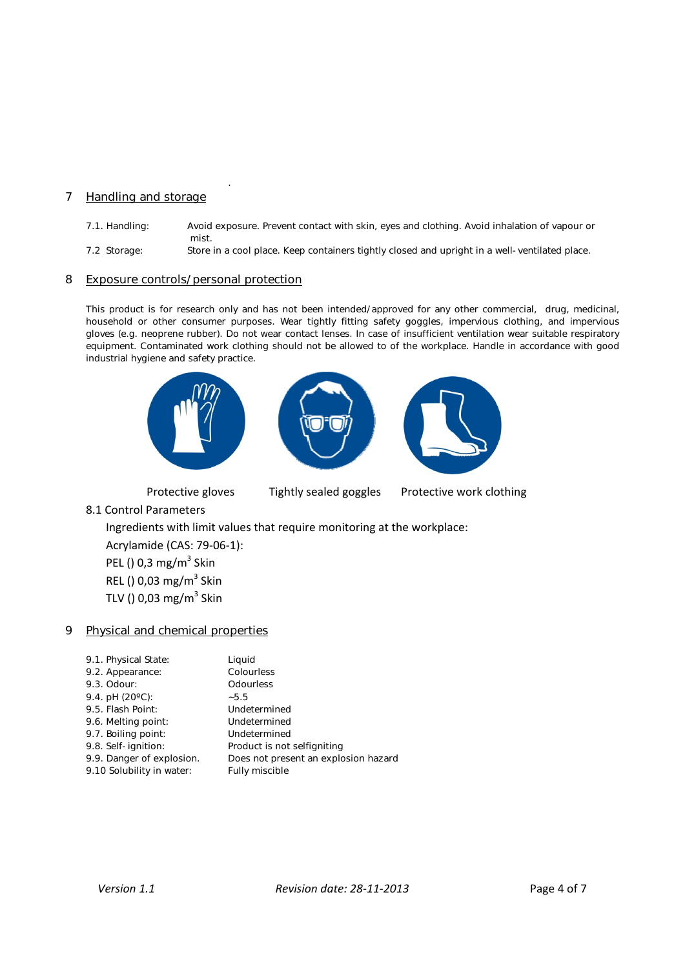# 7 Handling and storage

- 7.1. Handling: Avoid exposure. Prevent contact with skin, eyes and clothing. Avoid inhalation of vapour or mist.
- 7.2 Storage: Store in a cool place. Keep containers tightly closed and upright in a well-ventilated place.

### 8 Exposure controls/personal protection

.

This product is for research only and has not been intended/approved for any other commercial, drug, medicinal, household or other consumer purposes. Wear tightly fitting safety goggles, impervious clothing, and impervious gloves (e.g. neoprene rubber). Do not wear contact lenses. In case of insufficient ventilation wear suitable respiratory equipment. Contaminated work clothing should not be allowed to of the workplace. Handle in accordance with good industrial hygiene and safety practice.



Protective gloves Tightly sealed goggles Protective work clothing

8.1 Control Parameters

Ingredients with limit values that require monitoring at the workplace:

Acrylamide (CAS: 79‐06‐1): PEL ()  $0.3 \text{ mg/m}^3$  Skin REL () 0,03 mg/ $m^3$  Skin TLV () 0,03 mg/ $m^3$  Skin

# 9 Physical and chemical properties

| 9.1. Physical State:      | Liquid                               |
|---------------------------|--------------------------------------|
| 9.2. Appearance:          | Colourless                           |
| 9.3. Odour:               | Odourless                            |
| 9.4. pH $(20^{\circ}C)$ : | $-5.5$                               |
| 9.5. Flash Point:         | Undetermined                         |
| 9.6. Melting point:       | Undetermined                         |
| 9.7. Boiling point:       | Undetermined                         |
| 9.8. Self-ignition:       | Product is not selfigniting          |
| 9.9. Danger of explosion. | Does not present an explosion hazard |
| 9.10 Solubility in water: | Fully miscible                       |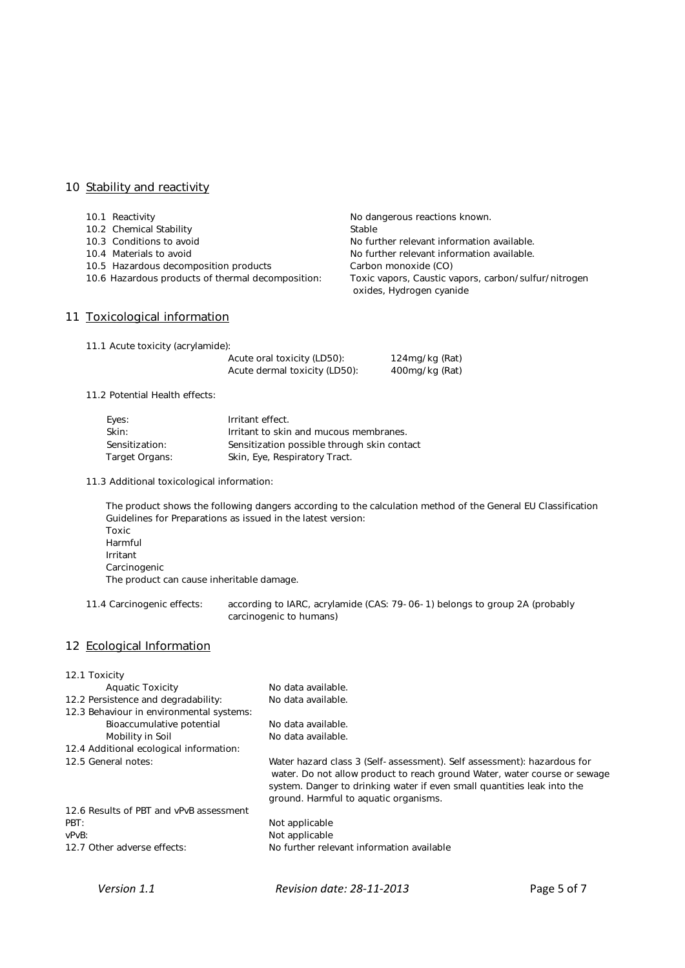# 10 Stability and reactivity

| 10.1 Reactivity                                   | No dangerous reactions known.                                                    |
|---------------------------------------------------|----------------------------------------------------------------------------------|
| 10.2 Chemical Stability                           | Stable                                                                           |
| 10.3 Conditions to avoid                          | No further relevant information available.                                       |
| 10.4 Materials to avoid                           | No further relevant information available.                                       |
| 10.5 Hazardous decomposition products             | Carbon monoxide (CO)                                                             |
| 10.6 Hazardous products of thermal decomposition: | Toxic vapors, Caustic vapors, carbon/sulfur/nitrogen<br>oxides, Hydrogen cyanide |
| 11 Toxicological information                      |                                                                                  |

124mg/kg (Rat) 400mg/kg (Rat)

11.1 Acute toxicity (acrylamide):

| Acute oral toxicity (LD50):   |  |
|-------------------------------|--|
| Acute dermal toxicity (LD50): |  |

11.2 Potential Health effects:

| Eves:          | Irritant effect.                            |
|----------------|---------------------------------------------|
| Skin:          | Irritant to skin and mucous membranes.      |
| Sensitization: | Sensitization possible through skin contact |
| Target Organs: | Skin, Eye, Respiratory Tract.               |

11.3 Additional toxicological information:

The product shows the following dangers according to the calculation method of the General EU Classification Guidelines for Preparations as issued in the latest version: Toxic Harmful Irritant Carcinogenic The product can cause inheritable damage.

11.4 Carcinogenic effects: according to IARC, acrylamide (CAS: 79-06-1) belongs to group 2A (probably carcinogenic to humans)

# 12 Ecological Information

| 12.1 Toxicity                            |                                                                                                                                                                                                                                                                          |
|------------------------------------------|--------------------------------------------------------------------------------------------------------------------------------------------------------------------------------------------------------------------------------------------------------------------------|
| <b>Aquatic Toxicity</b>                  | No data available.                                                                                                                                                                                                                                                       |
| 12.2 Persistence and degradability:      | No data available.                                                                                                                                                                                                                                                       |
| 12.3 Behaviour in environmental systems: |                                                                                                                                                                                                                                                                          |
| Bioaccumulative potential                | No data available.                                                                                                                                                                                                                                                       |
| Mobility in Soil                         | No data available.                                                                                                                                                                                                                                                       |
| 12.4 Additional ecological information:  |                                                                                                                                                                                                                                                                          |
| 12.5 General notes:                      | Water hazard class 3 (Self-assessment). Self assessment): hazardous for<br>water. Do not allow product to reach ground Water, water course or sewage<br>system. Danger to drinking water if even small quantities leak into the<br>ground. Harmful to aquatic organisms. |
| 12.6 Results of PBT and vPvB assessment  |                                                                                                                                                                                                                                                                          |
| PBT:                                     | Not applicable                                                                                                                                                                                                                                                           |
| vPvB:                                    | Not applicable                                                                                                                                                                                                                                                           |
| 12.7 Other adverse effects:              | No further relevant information available                                                                                                                                                                                                                                |
|                                          |                                                                                                                                                                                                                                                                          |

*Version 1.1 Revision date: 28‐11‐2013*  Page 5 of 7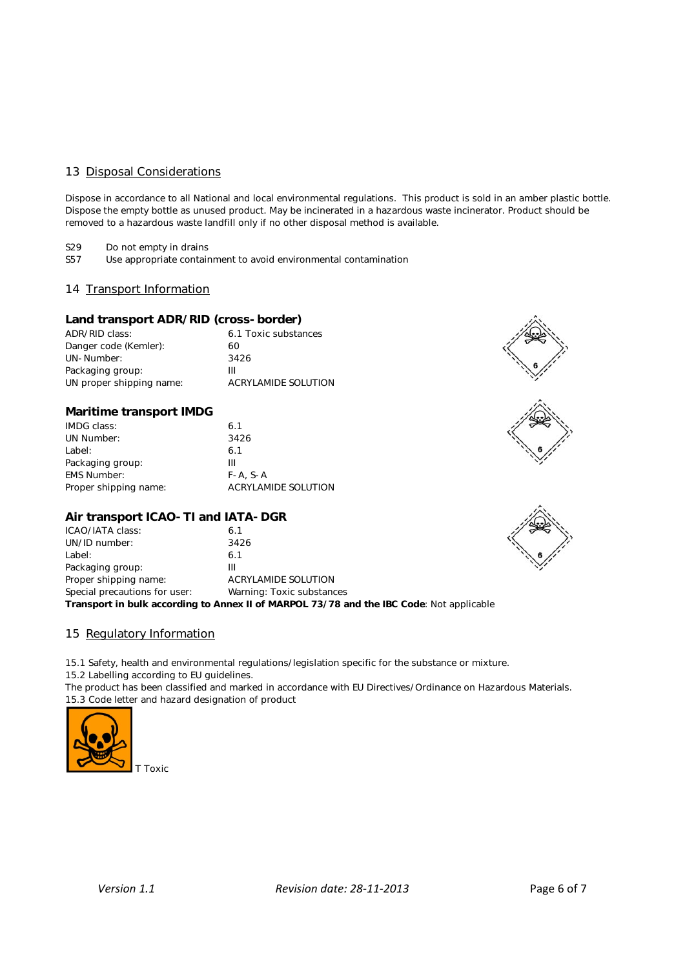# 13 Disposal Considerations

Dispose in accordance to all National and local environmental regulations. This product is sold in an amber plastic bottle. Dispose the empty bottle as unused product. May be incinerated in a hazardous waste incinerator. Product should be removed to a hazardous waste landfill only if no other disposal method is available.

S29 Do not empty in drains<br>S57 Use appropriate contain

Use appropriate containment to avoid environmental contamination

# 14 Transport Information

# Land transport ADR/RID (cross-border)

| ADR/RID class:           |    | 6.1 Toxic substances |
|--------------------------|----|----------------------|
| Danger code (Kemler):    | 60 |                      |
| UN-Number:               |    | 3426                 |
| Packaging group:         | Ш  |                      |
| UN proper shipping name: |    | ACRYLAMIDE SOLUTION  |

### Maritime transport IMDG

| IMDG class:           | 6.1                 |
|-----------------------|---------------------|
| UN Number:            | 3426                |
| Label:                | 6.1                 |
| Packaging group:      | ш                   |
| <b>EMS Number:</b>    | $F - A$ , $S - A$   |
| Proper shipping name: | ACRYLAMIDE SOLUTION |

### Air transport ICAO-TI and IATA-DGR

| Transport in bulk according to Annex II of MARPOL 73/78 and the IBC Code: Not applicable |                           |  |
|------------------------------------------------------------------------------------------|---------------------------|--|
| Special precautions for user:                                                            | Warning: Toxic substances |  |
| Proper shipping name:                                                                    | ACRYLAMIDE SOLUTION       |  |
| Packaging group:                                                                         | Ш                         |  |
| Label:                                                                                   | 6.1                       |  |
| UN/ID number:                                                                            | 3426                      |  |
| ICAO/IATA class:                                                                         | 6.1                       |  |

# 15 Regulatory Information

15.1 Safety, health and environmental regulations/legislation specific for the substance or mixture.

15.2 Labelling according to EU guidelines.

The product has been classified and marked in accordance with EU Directives/Ordinance on Hazardous Materials. 15.3 Code letter and hazard designation of product



T Toxic